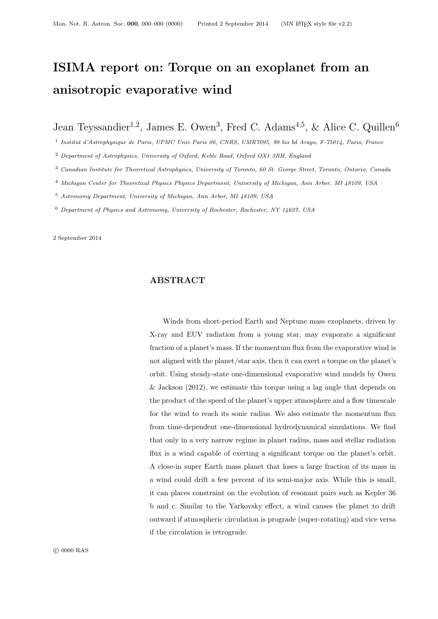# ISIMA report on: Torque on an exoplanet from an anisotropic evaporative wind

Jean Teyssandier<sup>1,2</sup>, James E. Owen<sup>3</sup>, Fred C. Adams<sup>4,5</sup>, & Alice C. Quillen<sup>6</sup>

1 Institut d'Astrophysique de Paris, UPMC Univ Paris 06, CNRS, UMR7095, 98 bis bd Arago, F-75014, Paris, France

<sup>2</sup> Department of Astrophysics, University of Oxford, Keble Road, Oxford OX1 3RH, England

<sup>3</sup> Canadian Institute for Theoretical Astrophysics, University of Toronto, 60 St. George Street, Toronto, Ontario, Canada

- <sup>4</sup> Michigan Center for Theoretical Physics Physics Department, University of Michigan, Ann Arbor, MI 48109, USA
- <sup>5</sup> Astronomy Department, University of Michigan, Ann Arbor, MI 48109, USA

<sup>6</sup> Department of Physics and Astronomy, University of Rochester, Rochester, NY 14627, USA

2 September 2014

#### ABSTRACT

Winds from short-period Earth and Neptune mass exoplanets, driven by X-ray and EUV radiation from a young star, may evaporate a significant fraction of a planet's mass. If the momentum flux from the evaporative wind is not aligned with the planet/star axis, then it can exert a torque on the planet's orbit. Using steady-state one-dimensional evaporative wind models by Owen & Jackson (2012), we estimate this torque using a lag angle that depends on the product of the speed of the planet's upper atmosphere and a flow timescale for the wind to reach its sonic radius. We also estimate the momentum flux from time-dependent one-dimensional hydrodynamical simulations. We find that only in a very narrow regime in planet radius, mass and stellar radiation flux is a wind capable of exerting a significant torque on the planet's orbit. A close-in super Earth mass planet that loses a large fraction of its mass in a wind could drift a few percent of its semi-major axis. While this is small, it can places constraint on the evolution of resonant pairs such as Kepler 36 b and c. Similar to the Yarkovsky effect, a wind causes the planet to drift outward if atmospheric circulation is prograde (super-rotating) and vice versa if the circulation is retrograde.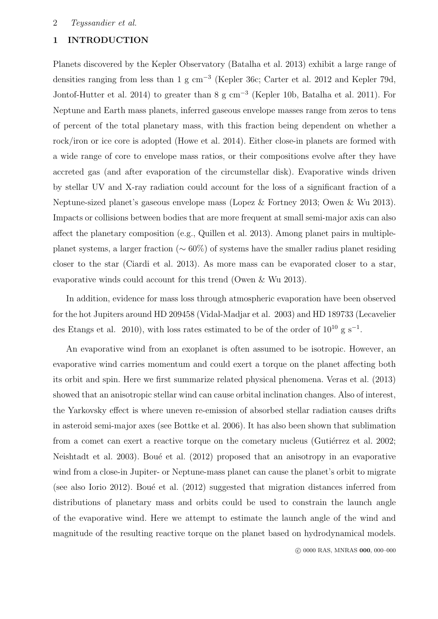#### 2 Teyssandier et al.

# 1 INTRODUCTION

Planets discovered by the Kepler Observatory (Batalha et al. 2013) exhibit a large range of densities ranging from less than 1 g cm<sup>−</sup><sup>3</sup> (Kepler 36c; Carter et al. 2012 and Kepler 79d, Jontof-Hutter et al. 2014) to greater than 8 g cm<sup>−</sup><sup>3</sup> (Kepler 10b, Batalha et al. 2011). For Neptune and Earth mass planets, inferred gaseous envelope masses range from zeros to tens of percent of the total planetary mass, with this fraction being dependent on whether a rock/iron or ice core is adopted (Howe et al. 2014). Either close-in planets are formed with a wide range of core to envelope mass ratios, or their compositions evolve after they have accreted gas (and after evaporation of the circumstellar disk). Evaporative winds driven by stellar UV and X-ray radiation could account for the loss of a significant fraction of a Neptune-sized planet's gaseous envelope mass (Lopez & Fortney 2013; Owen & Wu 2013). Impacts or collisions between bodies that are more frequent at small semi-major axis can also affect the planetary composition (e.g., Quillen et al. 2013). Among planet pairs in multipleplanet systems, a larger fraction (∼ 60%) of systems have the smaller radius planet residing closer to the star (Ciardi et al. 2013). As more mass can be evaporated closer to a star, evaporative winds could account for this trend (Owen & Wu 2013).

In addition, evidence for mass loss through atmospheric evaporation have been observed for the hot Jupiters around HD 209458 (Vidal-Madjar et al. 2003) and HD 189733 (Lecavelier des Etangs et al. 2010), with loss rates estimated to be of the order of  $10^{10}$  g s<sup>-1</sup>.

An evaporative wind from an exoplanet is often assumed to be isotropic. However, an evaporative wind carries momentum and could exert a torque on the planet affecting both its orbit and spin. Here we first summarize related physical phenomena. Veras et al. (2013) showed that an anisotropic stellar wind can cause orbital inclination changes. Also of interest, the Yarkovsky effect is where uneven re-emission of absorbed stellar radiation causes drifts in asteroid semi-major axes (see Bottke et al. 2006). It has also been shown that sublimation from a comet can exert a reactive torque on the cometary nucleus (Gutiérrez et al. 2002; Neishtadt et al. 2003). Boué et al. (2012) proposed that an anisotropy in an evaporative wind from a close-in Jupiter- or Neptune-mass planet can cause the planet's orbit to migrate (see also Iorio 2012). Boué et al.  $(2012)$  suggested that migration distances inferred from distributions of planetary mass and orbits could be used to constrain the launch angle of the evaporative wind. Here we attempt to estimate the launch angle of the wind and magnitude of the resulting reactive torque on the planet based on hydrodynamical models.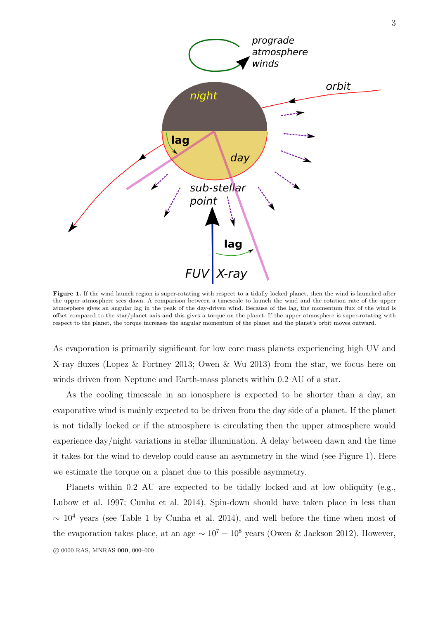

Figure 1. If the wind launch region is super-rotating with respect to a tidally locked planet, then the wind is launched after the upper atmosphere sees dawn. A comparison between a timescale to launch the wind and the rotation rate of the upper atmosphere gives an angular lag in the peak of the day-driven wind. Because of the lag, the momentum flux of the wind is offset compared to the star/planet axis and this gives a torque on the planet. If the upper atmosphere is super-rotating with respect to the planet, the torque increases the angular momentum of the planet and the planet's orbit moves outward.

As evaporation is primarily significant for low core mass planets experiencing high UV and X-ray fluxes (Lopez & Fortney 2013; Owen & Wu 2013) from the star, we focus here on winds driven from Neptune and Earth-mass planets within 0.2 AU of a star.

As the cooling timescale in an ionosphere is expected to be shorter than a day, an evaporative wind is mainly expected to be driven from the day side of a planet. If the planet is not tidally locked or if the atmosphere is circulating then the upper atmosphere would experience day/night variations in stellar illumination. A delay between dawn and the time it takes for the wind to develop could cause an asymmetry in the wind (see Figure 1). Here we estimate the torque on a planet due to this possible asymmetry.

Planets within 0.2 AU are expected to be tidally locked and at low obliquity (e.g., Lubow et al. 1997; Cunha et al. 2014). Spin-down should have taken place in less than  $\sim 10^4$  years (see Table 1 by Cunha et al. 2014), and well before the time when most of the evaporation takes place, at an age  $\sim 10^7 - 10^8$  years (Owen & Jackson 2012). However, c 0000 RAS, MNRAS 000, 000–000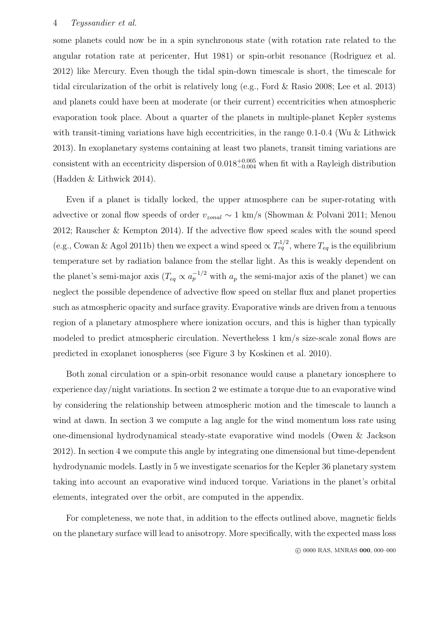some planets could now be in a spin synchronous state (with rotation rate related to the angular rotation rate at pericenter, Hut 1981) or spin-orbit resonance (Rodriguez et al. 2012) like Mercury. Even though the tidal spin-down timescale is short, the timescale for tidal circularization of the orbit is relatively long (e.g., Ford & Rasio 2008; Lee et al. 2013) and planets could have been at moderate (or their current) eccentricities when atmospheric evaporation took place. About a quarter of the planets in multiple-planet Kepler systems with transit-timing variations have high eccentricities, in the range  $0.1$ - $0.4$  (Wu & Lithwick 2013). In exoplanetary systems containing at least two planets, transit timing variations are consistent with an eccentricity dispersion of  $0.018_{-0.004}^{+0.005}$  when fit with a Rayleigh distribution (Hadden & Lithwick 2014).

Even if a planet is tidally locked, the upper atmosphere can be super-rotating with advective or zonal flow speeds of order  $v_{zonal} \sim 1 \text{ km/s}$  (Showman & Polvani 2011; Menou 2012; Rauscher & Kempton 2014). If the advective flow speed scales with the sound speed (e.g., Cowan & Agol 2011b) then we expect a wind speed  $\propto T_{eq}^{1/2}$ , where  $T_{eq}$  is the equilibrium temperature set by radiation balance from the stellar light. As this is weakly dependent on the planet's semi-major axis  $(T_{eq} \propto a_p^{-1/2}$  with  $a_p$  the semi-major axis of the planet) we can neglect the possible dependence of advective flow speed on stellar flux and planet properties such as atmospheric opacity and surface gravity. Evaporative winds are driven from a tenuous region of a planetary atmosphere where ionization occurs, and this is higher than typically modeled to predict atmospheric circulation. Nevertheless 1 km/s size-scale zonal flows are predicted in exoplanet ionospheres (see Figure 3 by Koskinen et al. 2010).

Both zonal circulation or a spin-orbit resonance would cause a planetary ionosphere to experience day/night variations. In section 2 we estimate a torque due to an evaporative wind by considering the relationship between atmospheric motion and the timescale to launch a wind at dawn. In section 3 we compute a lag angle for the wind momentum loss rate using one-dimensional hydrodynamical steady-state evaporative wind models (Owen & Jackson 2012). In section 4 we compute this angle by integrating one dimensional but time-dependent hydrodynamic models. Lastly in 5 we investigate scenarios for the Kepler 36 planetary system taking into account an evaporative wind induced torque. Variations in the planet's orbital elements, integrated over the orbit, are computed in the appendix.

For completeness, we note that, in addition to the effects outlined above, magnetic fields on the planetary surface will lead to anisotropy. More specifically, with the expected mass loss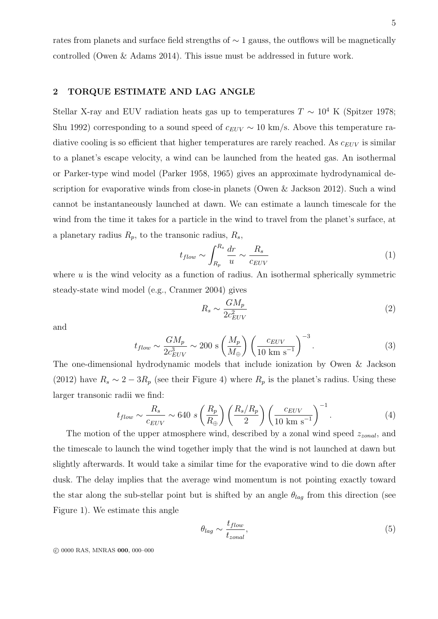rates from planets and surface field strengths of ∼ 1 gauss, the outflows will be magnetically controlled (Owen & Adams 2014). This issue must be addressed in future work.

# 2 TORQUE ESTIMATE AND LAG ANGLE

Stellar X-ray and EUV radiation heats gas up to temperatures  $T \sim 10^4$  K (Spitzer 1978; Shu 1992) corresponding to a sound speed of  $c_{EUV} \sim 10 \text{ km/s}$ . Above this temperature radiative cooling is so efficient that higher temperatures are rarely reached. As  $c_{EUV}$  is similar to a planet's escape velocity, a wind can be launched from the heated gas. An isothermal or Parker-type wind model (Parker 1958, 1965) gives an approximate hydrodynamical description for evaporative winds from close-in planets (Owen & Jackson 2012). Such a wind cannot be instantaneously launched at dawn. We can estimate a launch timescale for the wind from the time it takes for a particle in the wind to travel from the planet's surface, at a planetary radius  $R_p$ , to the transonic radius,  $R_s$ ,

$$
t_{flow} \sim \int_{R_p}^{R_s} \frac{dr}{u} \sim \frac{R_s}{c_{EUV}} \tag{1}
$$

where  $u$  is the wind velocity as a function of radius. An isothermal spherically symmetric steady-state wind model (e.g., Cranmer 2004) gives

$$
R_s \sim \frac{GM_p}{2c_{EUV}^2} \tag{2}
$$

and

$$
t_{flow} \sim \frac{GM_p}{2c_{EUV}^3} \sim 200 \text{ s} \left(\frac{M_p}{M_{\oplus}}\right) \left(\frac{c_{EUV}}{10 \text{ km s}^{-1}}\right)^{-3}.\tag{3}
$$

The one-dimensional hydrodynamic models that include ionization by Owen & Jackson (2012) have  $R_s \sim 2-3R_p$  (see their Figure 4) where  $R_p$  is the planet's radius. Using these larger transonic radii we find:

$$
t_{flow} \sim \frac{R_s}{c_{EUV}} \sim 640 \ s \left(\frac{R_p}{R_{\oplus}}\right) \left(\frac{R_s/R_p}{2}\right) \left(\frac{c_{EUV}}{10 \text{ km s}^{-1}}\right)^{-1}.\tag{4}
$$

The motion of the upper atmosphere wind, described by a zonal wind speed  $z_{zonal}$ , and the timescale to launch the wind together imply that the wind is not launched at dawn but slightly afterwards. It would take a similar time for the evaporative wind to die down after dusk. The delay implies that the average wind momentum is not pointing exactly toward the star along the sub-stellar point but is shifted by an angle  $\theta_{lag}$  from this direction (see Figure 1). We estimate this angle

$$
\theta_{lag} \sim \frac{t_{flow}}{t_{zonal}},\tag{5}
$$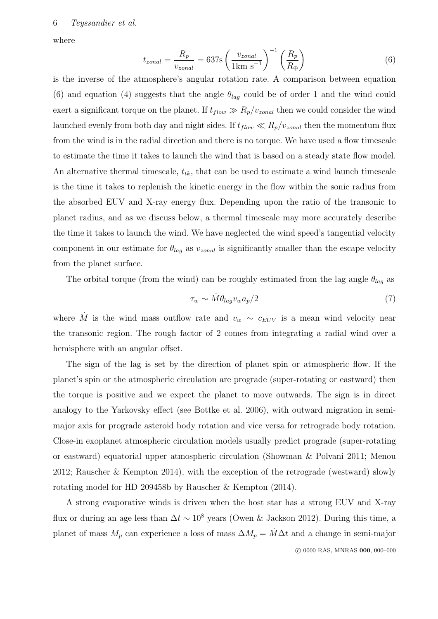where

$$
t_{zonal} = \frac{R_p}{v_{zonal}} = 637 \, \text{s} \left(\frac{v_{zonal}}{1 \, \text{km s}^{-1}}\right)^{-1} \left(\frac{R_p}{R_\oplus}\right) \tag{6}
$$

is the inverse of the atmosphere's angular rotation rate. A comparison between equation (6) and equation (4) suggests that the angle  $\theta_{la}$  could be of order 1 and the wind could exert a significant torque on the planet. If  $t_{flow} \gg R_p/v_{zonal}$  then we could consider the wind launched evenly from both day and night sides. If  $t_{flow} \ll R_p/v_{zonal}$  then the momentum flux from the wind is in the radial direction and there is no torque. We have used a flow timescale to estimate the time it takes to launch the wind that is based on a steady state flow model. An alternative thermal timescale,  $t_{tk}$ , that can be used to estimate a wind launch timescale is the time it takes to replenish the kinetic energy in the flow within the sonic radius from the absorbed EUV and X-ray energy flux. Depending upon the ratio of the transonic to planet radius, and as we discuss below, a thermal timescale may more accurately describe the time it takes to launch the wind. We have neglected the wind speed's tangential velocity component in our estimate for  $\theta_{lag}$  as  $v_{zonal}$  is significantly smaller than the escape velocity from the planet surface.

The orbital torque (from the wind) can be roughly estimated from the lag angle  $\theta_{lag}$  as

$$
\tau_w \sim \dot{M} \theta_{lag} v_w a_p / 2 \tag{7}
$$

where  $\dot{M}$  is the wind mass outflow rate and  $v_w \sim c_{EUV}$  is a mean wind velocity near the transonic region. The rough factor of 2 comes from integrating a radial wind over a hemisphere with an angular offset.

The sign of the lag is set by the direction of planet spin or atmospheric flow. If the planet's spin or the atmospheric circulation are prograde (super-rotating or eastward) then the torque is positive and we expect the planet to move outwards. The sign is in direct analogy to the Yarkovsky effect (see Bottke et al. 2006), with outward migration in semimajor axis for prograde asteroid body rotation and vice versa for retrograde body rotation. Close-in exoplanet atmospheric circulation models usually predict prograde (super-rotating or eastward) equatorial upper atmospheric circulation (Showman & Polvani 2011; Menou 2012; Rauscher & Kempton 2014), with the exception of the retrograde (westward) slowly rotating model for HD 209458b by Rauscher & Kempton (2014).

A strong evaporative winds is driven when the host star has a strong EUV and X-ray flux or during an age less than  $\Delta t \sim 10^8$  years (Owen & Jackson 2012). During this time, a planet of mass  $M_p$  can experience a loss of mass  $\Delta M_p = \dot{M} \Delta t$  and a change in semi-major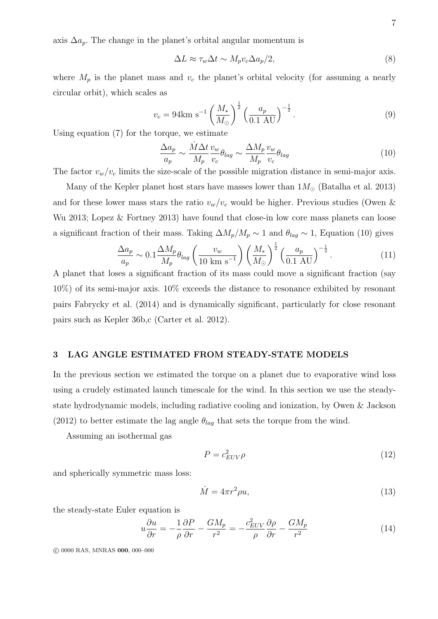axis  $\Delta a_p$ . The change in the planet's orbital angular momentum is

$$
\Delta L \approx \tau_w \Delta t \sim M_p v_c \Delta a_p / 2,\tag{8}
$$

where  $M_p$  is the planet mass and  $v_c$  the planet's orbital velocity (for assuming a nearly circular orbit), which scales as

$$
v_c = 94 \text{km s}^{-1} \left(\frac{M_*}{M_\odot}\right)^{\frac{1}{2}} \left(\frac{a_p}{0.1 \text{ AU}}\right)^{-\frac{1}{2}}.
$$
 (9)

Using equation (7) for the torque, we estimate

$$
\frac{\Delta a_p}{a_p} \sim \frac{\dot{M}\Delta t}{M_p} \frac{v_w}{v_c} \theta_{lag} \sim \frac{\Delta M_p}{M_p} \frac{v_w}{v_c} \theta_{lag}
$$
\n(10)

The factor  $v_w/v_c$  limits the size-scale of the possible migration distance in semi-major axis.

Many of the Kepler planet host stars have masses lower than  $1M_{\odot}$  (Batalha et al. 2013) and for these lower mass stars the ratio  $v_w/v_c$  would be higher. Previous studies (Owen & Wu 2013; Lopez & Fortney 2013) have found that close-in low core mass planets can loose a significant fraction of their mass. Taking  $\Delta M_p/M_p \sim 1$  and  $\theta_{lag} \sim 1$ , Equation (10) gives

$$
\frac{\Delta a_p}{a_p} \sim 0.1 \frac{\Delta M_p}{M_p} \theta_{lag} \left(\frac{v_w}{10 \text{ km s}^{-1}}\right) \left(\frac{M_*}{M_\odot}\right)^{\frac{1}{2}} \left(\frac{a_p}{0.1 \text{ AU}}\right)^{-\frac{1}{2}}.
$$
 (11)

A planet that loses a significant fraction of its mass could move a significant fraction (say 10%) of its semi-major axis. 10% exceeds the distance to resonance exhibited by resonant pairs Fabrycky et al. (2014) and is dynamically significant, particularly for close resonant pairs such as Kepler 36b,c (Carter et al. 2012).

#### 3 LAG ANGLE ESTIMATED FROM STEADY-STATE MODELS

In the previous section we estimated the torque on a planet due to evaporative wind loss using a crudely estimated launch timescale for the wind. In this section we use the steadystate hydrodynamic models, including radiative cooling and ionization, by Owen & Jackson (2012) to better estimate the lag angle  $\theta_{lag}$  that sets the torque from the wind.

Assuming an isothermal gas

$$
P = c_{EUV}^2 \rho \tag{12}
$$

and spherically symmetric mass loss:

$$
\dot{M} = 4\pi r^2 \rho u,\tag{13}
$$

the steady-state Euler equation is

$$
u\frac{\partial u}{\partial r} = -\frac{1}{\rho}\frac{\partial P}{\partial r} - \frac{GM_p}{r^2} = -\frac{c_{EUV}^2}{\rho}\frac{\partial \rho}{\partial r} - \frac{GM_p}{r^2}
$$
(14)

c 0000 RAS, MNRAS 000, 000–000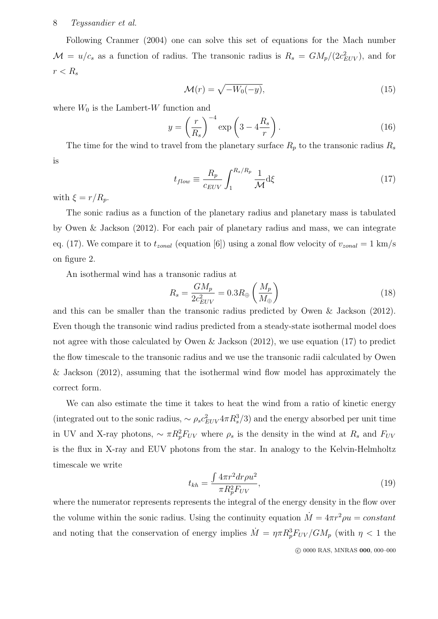## 8 Teyssandier et al.

Following Cranmer (2004) one can solve this set of equations for the Mach number  $\mathcal{M} = u/c_s$  as a function of radius. The transonic radius is  $R_s = GM_p/(2c_{EUV}^2)$ , and for  $r < R_s$ 

$$
\mathcal{M}(r) = \sqrt{-W_0(-y)},\tag{15}
$$

where  $W_0$  is the Lambert-W function and

$$
y = \left(\frac{r}{R_s}\right)^{-4} \exp\left(3 - 4\frac{R_s}{r}\right). \tag{16}
$$

The time for the wind to travel from the planetary surface  $R_p$  to the transonic radius  $R_s$ is

$$
t_{flow} \equiv \frac{R_p}{c_{EUV}} \int_1^{R_s/R_p} \frac{1}{\mathcal{M}} d\xi \tag{17}
$$

with  $\xi = r/R_p$ .

The sonic radius as a function of the planetary radius and planetary mass is tabulated by Owen & Jackson (2012). For each pair of planetary radius and mass, we can integrate eq. (17). We compare it to  $t_{zonal}$  (equation [6]) using a zonal flow velocity of  $v_{zonal} = 1$  km/s on figure 2.

An isothermal wind has a transonic radius at

$$
R_s = \frac{GM_p}{2c_{EUV}^2} = 0.3R_{\oplus} \left(\frac{M_p}{M_{\oplus}}\right)
$$
\n(18)

and this can be smaller than the transonic radius predicted by Owen & Jackson (2012). Even though the transonic wind radius predicted from a steady-state isothermal model does not agree with those calculated by Owen & Jackson (2012), we use equation (17) to predict the flow timescale to the transonic radius and we use the transonic radii calculated by Owen & Jackson (2012), assuming that the isothermal wind flow model has approximately the correct form.

We can also estimate the time it takes to heat the wind from a ratio of kinetic energy (integrated out to the sonic radius,  $\sim \rho_s c_{EUV}^2 4\pi R_s^3$ ) and the energy absorbed per unit time in UV and X-ray photons,  $\sim \pi R_p^2 F_{UV}$  where  $\rho_s$  is the density in the wind at  $R_s$  and  $F_{UV}$ is the flux in X-ray and EUV photons from the star. In analogy to the Kelvin-Helmholtz timescale we write

$$
t_{kh} = \frac{\int 4\pi r^2 dr \rho u^2}{\pi R_p^2 F_{UV}},\tag{19}
$$

where the numerator represents represents the integral of the energy density in the flow over the volume within the sonic radius. Using the continuity equation  $\dot{M} = 4\pi r^2 \rho u = constant$ and noting that the conservation of energy implies  $\dot{M} = \eta \pi R_p^3 F_{UV} / G M_p$  (with  $\eta < 1$  the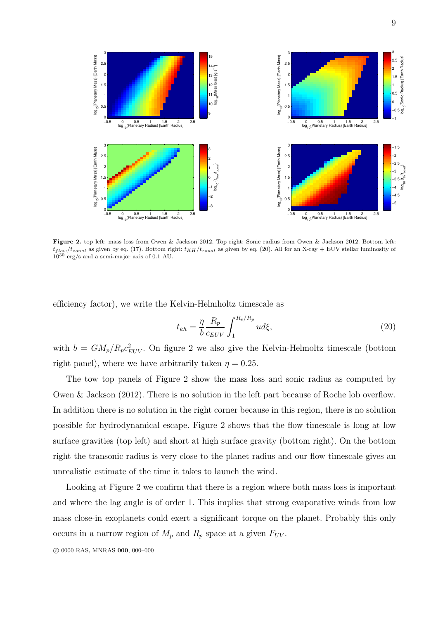

Figure 2. top left: mass loss from Owen & Jackson 2012. Top right: Sonic radius from Owen & Jackson 2012. Bottom left:  $t_{flow}/t_{zonal}$  as given by eq. (17). Bottom right:  $t_{KH}/t_{zonal}$  as given by eq. (20). All for an X-ray + EUV stellar luminosity of  $10^{30}$  erg/s and a semi-major axis of 0.1 AU.

efficiency factor), we write the Kelvin-Helmholtz timescale as

$$
t_{kh} = \frac{\eta}{b} \frac{R_p}{c_{EUV}} \int_1^{R_s/R_p} u d\xi,
$$
\n(20)

with  $b = GM_p/R_p c_{EUV}^2$ . On figure 2 we also give the Kelvin-Helmoltz timescale (bottom right panel), where we have arbitrarily taken  $\eta = 0.25$ .

The tow top panels of Figure 2 show the mass loss and sonic radius as computed by Owen & Jackson (2012). There is no solution in the left part because of Roche lob overflow. In addition there is no solution in the right corner because in this region, there is no solution possible for hydrodynamical escape. Figure 2 shows that the flow timescale is long at low surface gravities (top left) and short at high surface gravity (bottom right). On the bottom right the transonic radius is very close to the planet radius and our flow timescale gives an unrealistic estimate of the time it takes to launch the wind.

Looking at Figure 2 we confirm that there is a region where both mass loss is important and where the lag angle is of order 1. This implies that strong evaporative winds from low mass close-in exoplanets could exert a significant torque on the planet. Probably this only occurs in a narrow region of  $M_p$  and  $R_p$  space at a given  $F_{UV}$ .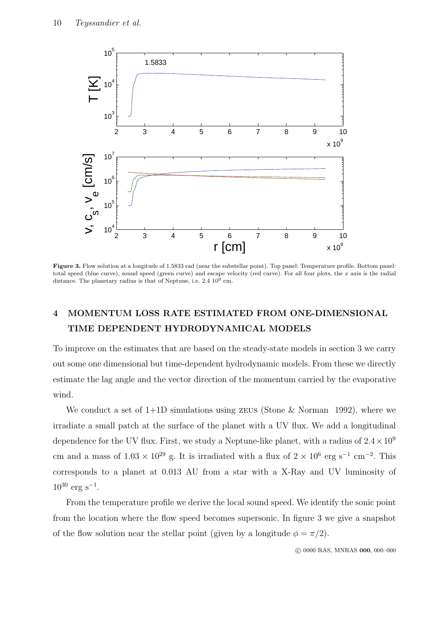

Figure 3. Flow solution at a longitude of 1.5833 rad (near the substellar point). Top panel: Temperature profile. Bottom panel: total speed (blue curve), sound speed (green curve) and escape velocity (red curve). For all four plots, the  $x$  axis is the radial distance. The planetary radius is that of Neptune, i.e.  $2.4 \times 10^9$  cm.

# 4 MOMENTUM LOSS RATE ESTIMATED FROM ONE-DIMENSIONAL TIME DEPENDENT HYDRODYNAMICAL MODELS

To improve on the estimates that are based on the steady-state models in section 3 we carry out some one dimensional but time-dependent hydrodynamic models. From these we directly estimate the lag angle and the vector direction of the momentum carried by the evaporative wind.

We conduct a set of  $1+1D$  simulations using zeus (Stone & Norman 1992), where we irradiate a small patch at the surface of the planet with a UV flux. We add a longitudinal dependence for the UV flux. First, we study a Neptune-like planet, with a radius of  $2.4 \times 10^9$ cm and a mass of  $1.03 \times 10^{29}$  g. It is irradiated with a flux of  $2 \times 10^6$  erg s<sup>-1</sup> cm<sup>-2</sup>. This corresponds to a planet at 0.013 AU from a star with a X-Ray and UV luminosity of  $10^{30}$  erg s<sup>-1</sup>.

From the temperature profile we derive the local sound speed. We identify the sonic point from the location where the flow speed becomes supersonic. In figure 3 we give a snapshot of the flow solution near the stellar point (given by a longitude  $\phi = \pi/2$ ).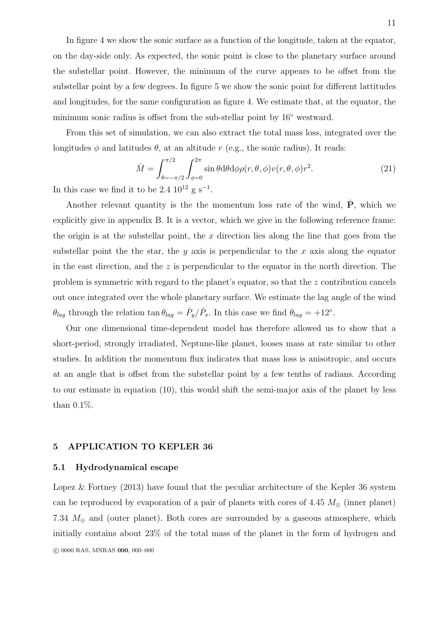In figure 4 we show the sonic surface as a function of the longitude, taken at the equator, on the day-side only. As expected, the sonic point is close to the planetary surface around the substellar point. However, the minimum of the curve appears to be offset from the substellar point by a few degrees. In figure 5 we show the sonic point for different lattitudes and longitudes, for the same configuration as figure 4. We estimate that, at the equator, the minimum sonic radius is offset from the sub-stellar point by 16◦ westward.

From this set of simulation, we can also extract the total mass loss, integrated over the longitudes  $\phi$  and latitudes  $\theta$ , at an altitude r (e.g., the sonic radius). It reads:

$$
\dot{M} = \int_{\theta = -\pi/2}^{\pi/2} \int_{\phi = 0}^{2\pi} \sin \theta \, d\theta \, d\phi \rho(r, \theta, \phi) v(r, \theta, \phi) r^2.
$$
\n(21)

In this case we find it to be  $2.4 \, 10^{12} \, \text{g s}^{-1}$ .

Another relevant quantity is the the momentum loss rate of the wind,  $\dot{P}$ , which we explicitly give in appendix B. It is a vector, which we give in the following reference frame: the origin is at the substellar point, the  $x$  direction lies along the line that goes from the substellar point the the star, the y axis is perpendicular to the x axis along the equator in the east direction, and the  $z$  is perpendicular to the equator in the north direction. The problem is symmetric with regard to the planet's equator, so that the z contribution cancels out once integrated over the whole planetary surface. We estimate the lag angle of the wind  $\theta_{lag}$  through the relation tan  $\theta_{lag} = \dot{P}_y / \dot{P}_x$ . In this case we find  $\theta_{lag} = +12^{\circ}$ .

Our one dimensional time-dependent model has therefore allowed us to show that a short-period, strongly irradiated, Neptune-like planet, looses mass at rate similar to other studies. In addition the momentum flux indicates that mass loss is anisotropic, and occurs at an angle that is offset from the substellar point by a few tenths of radians. According to our estimate in equation (10), this would shift the semi-major axis of the planet by less than 0.1%.

#### 5 APPLICATION TO KEPLER 36

#### 5.1 Hydrodynamical escape

Lopez & Fortney (2013) have found that the peculiar architecture of the Kepler 36 system can be reproduced by evaporation of a pair of planets with cores of 4.45  $M_{\oplus}$  (inner planet) 7.34  $M_{\oplus}$  and (outer planet). Both cores are surrounded by a gaseous atmosphere, which initially contains about 23% of the total mass of the planet in the form of hydrogen and c 0000 RAS, MNRAS 000, 000–000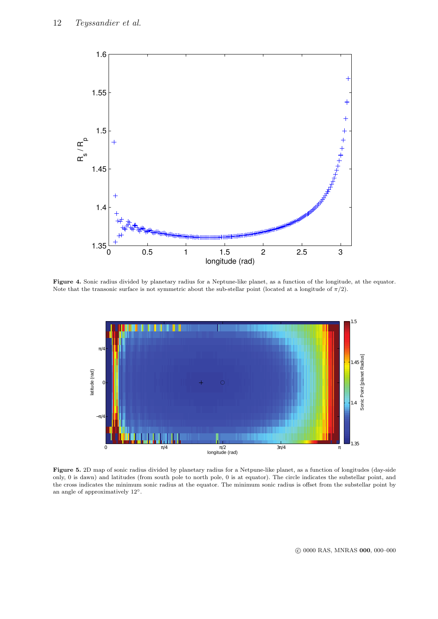

Figure 4. Sonic radius divided by planetary radius for a Neptune-like planet, as a function of the longitude, at the equator. Note that the transonic surface is not symmetric about the sub-stellar point (located at a longitude of  $\pi/2$ ).



Figure 5. 2D map of sonic radius divided by planetary radius for a Netpune-like planet, as a function of longitudes (day-side only, 0 is dawn) and latitudes (from south pole to north pole, 0 is at equator). The circle indicates the substellar point, and the cross indicates the minimum sonic radius at the equator. The minimum sonic radius is offset from the substellar point by an angle of approximatively 12◦.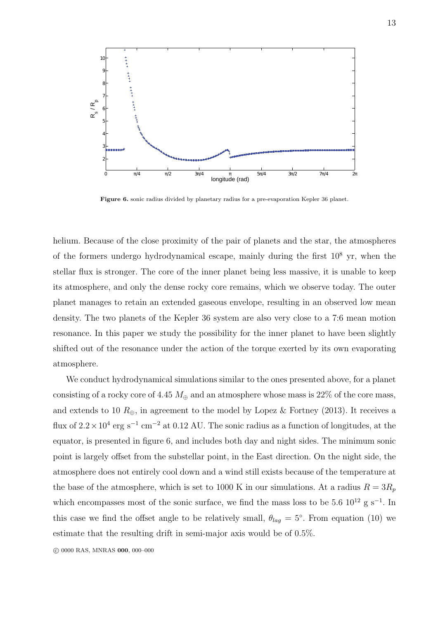

Figure 6. sonic radius divided by planetary radius for a pre-evaporation Kepler 36 planet.

helium. Because of the close proximity of the pair of planets and the star, the atmospheres of the formers undergo hydrodynamical escape, mainly during the first  $10^8$  yr, when the stellar flux is stronger. The core of the inner planet being less massive, it is unable to keep its atmosphere, and only the dense rocky core remains, which we observe today. The outer planet manages to retain an extended gaseous envelope, resulting in an observed low mean density. The two planets of the Kepler 36 system are also very close to a 7:6 mean motion resonance. In this paper we study the possibility for the inner planet to have been slightly shifted out of the resonance under the action of the torque exerted by its own evaporating atmosphere.

We conduct hydrodynamical simulations similar to the ones presented above, for a planet consisting of a rocky core of 4.45  $M_{\oplus}$  and an atmosphere whose mass is 22% of the core mass, and extends to 10  $R_{\oplus}$ , in agreement to the model by Lopez & Fortney (2013). It receives a flux of  $2.2 \times 10^4$  erg s<sup>-1</sup> cm<sup>-2</sup> at 0.12 AU. The sonic radius as a function of longitudes, at the equator, is presented in figure 6, and includes both day and night sides. The minimum sonic point is largely offset from the substellar point, in the East direction. On the night side, the atmosphere does not entirely cool down and a wind still exists because of the temperature at the base of the atmosphere, which is set to 1000 K in our simulations. At a radius  $R = 3R_p$ which encompasses most of the sonic surface, we find the mass loss to be 5.6  $10^{12}$  g s<sup>-1</sup>. In this case we find the offset angle to be relatively small,  $\theta_{lag} = 5^{\circ}$ . From equation (10) we estimate that the resulting drift in semi-major axis would be of 0.5%.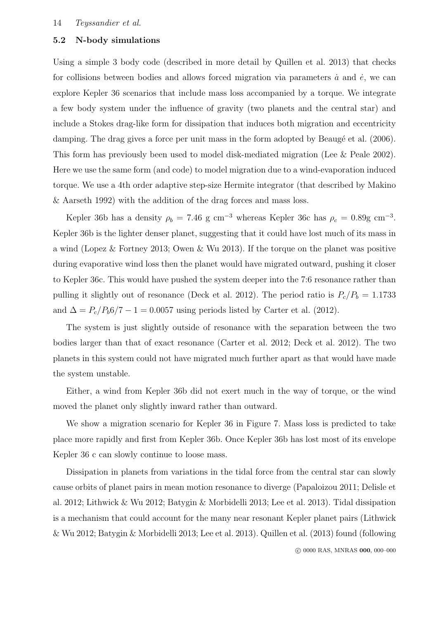# 5.2 N-body simulations

Using a simple 3 body code (described in more detail by Quillen et al. 2013) that checks for collisions between bodies and allows forced migration via parameters  $\dot{a}$  and  $\dot{e}$ , we can explore Kepler 36 scenarios that include mass loss accompanied by a torque. We integrate a few body system under the influence of gravity (two planets and the central star) and include a Stokes drag-like form for dissipation that induces both migration and eccentricity damping. The drag gives a force per unit mass in the form adopted by Beaugé et al. (2006). This form has previously been used to model disk-mediated migration (Lee & Peale 2002). Here we use the same form (and code) to model migration due to a wind-evaporation induced torque. We use a 4th order adaptive step-size Hermite integrator (that described by Makino & Aarseth 1992) with the addition of the drag forces and mass loss.

Kepler 36b has a density  $\rho_b = 7.46$  g cm<sup>-3</sup> whereas Kepler 36c has  $\rho_c = 0.89$ g cm<sup>-3</sup>. Kepler 36b is the lighter denser planet, suggesting that it could have lost much of its mass in a wind (Lopez & Fortney 2013; Owen & Wu 2013). If the torque on the planet was positive during evaporative wind loss then the planet would have migrated outward, pushing it closer to Kepler 36c. This would have pushed the system deeper into the 7:6 resonance rather than pulling it slightly out of resonance (Deck et al. 2012). The period ratio is  $P_c/P_b = 1.1733$ and  $\Delta = P_c/P_b 6/7 - 1 = 0.0057$  using periods listed by Carter et al. (2012).

The system is just slightly outside of resonance with the separation between the two bodies larger than that of exact resonance (Carter et al. 2012; Deck et al. 2012). The two planets in this system could not have migrated much further apart as that would have made the system unstable.

Either, a wind from Kepler 36b did not exert much in the way of torque, or the wind moved the planet only slightly inward rather than outward.

We show a migration scenario for Kepler 36 in Figure 7. Mass loss is predicted to take place more rapidly and first from Kepler 36b. Once Kepler 36b has lost most of its envelope Kepler 36 c can slowly continue to loose mass.

Dissipation in planets from variations in the tidal force from the central star can slowly cause orbits of planet pairs in mean motion resonance to diverge (Papaloizou 2011; Delisle et al. 2012; Lithwick & Wu 2012; Batygin & Morbidelli 2013; Lee et al. 2013). Tidal dissipation is a mechanism that could account for the many near resonant Kepler planet pairs (Lithwick & Wu 2012; Batygin & Morbidelli 2013; Lee et al. 2013). Quillen et al. (2013) found (following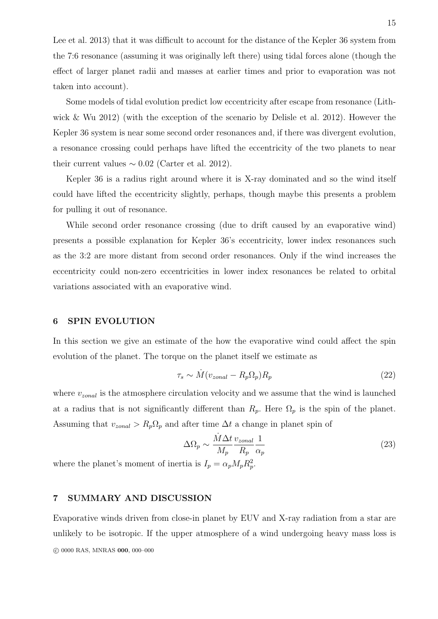Lee et al. 2013) that it was difficult to account for the distance of the Kepler 36 system from the 7:6 resonance (assuming it was originally left there) using tidal forces alone (though the effect of larger planet radii and masses at earlier times and prior to evaporation was not taken into account).

Some models of tidal evolution predict low eccentricity after escape from resonance (Lithwick & Wu 2012) (with the exception of the scenario by Delisle et al. 2012). However the Kepler 36 system is near some second order resonances and, if there was divergent evolution, a resonance crossing could perhaps have lifted the eccentricity of the two planets to near their current values  $\sim 0.02$  (Carter et al. 2012).

Kepler 36 is a radius right around where it is X-ray dominated and so the wind itself could have lifted the eccentricity slightly, perhaps, though maybe this presents a problem for pulling it out of resonance.

While second order resonance crossing (due to drift caused by an evaporative wind) presents a possible explanation for Kepler 36's eccentricity, lower index resonances such as the 3:2 are more distant from second order resonances. Only if the wind increases the eccentricity could non-zero eccentricities in lower index resonances be related to orbital variations associated with an evaporative wind.

#### 6 SPIN EVOLUTION

In this section we give an estimate of the how the evaporative wind could affect the spin evolution of the planet. The torque on the planet itself we estimate as

$$
\tau_s \sim \dot{M}(v_{zonal} - R_p \Omega_p) R_p \tag{22}
$$

where  $v_{zonal}$  is the atmosphere circulation velocity and we assume that the wind is launched at a radius that is not significantly different than  $R_p$ . Here  $\Omega_p$  is the spin of the planet. Assuming that  $v_{zonal} > R_p \Omega_p$  and after time  $\Delta t$  a change in planet spin of

$$
\Delta\Omega_p \sim \frac{\dot{M}\Delta t}{M_p} \frac{v_{zonal}}{R_p} \frac{1}{\alpha_p} \tag{23}
$$

where the planet's moment of inertia is  $I_p = \alpha_p M_p R_p^2$ .

# 7 SUMMARY AND DISCUSSION

Evaporative winds driven from close-in planet by EUV and X-ray radiation from a star are unlikely to be isotropic. If the upper atmosphere of a wind undergoing heavy mass loss is c 0000 RAS, MNRAS 000, 000–000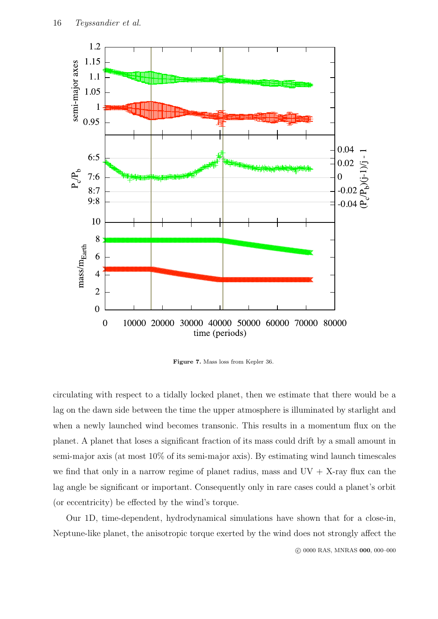

Figure 7. Mass loss from Kepler 36.

circulating with respect to a tidally locked planet, then we estimate that there would be a lag on the dawn side between the time the upper atmosphere is illuminated by starlight and when a newly launched wind becomes transonic. This results in a momentum flux on the planet. A planet that loses a significant fraction of its mass could drift by a small amount in semi-major axis (at most 10% of its semi-major axis). By estimating wind launch timescales we find that only in a narrow regime of planet radius, mass and  $UV + X$ -ray flux can the lag angle be significant or important. Consequently only in rare cases could a planet's orbit (or eccentricity) be effected by the wind's torque.

Our 1D, time-dependent, hydrodynamical simulations have shown that for a close-in, Neptune-like planet, the anisotropic torque exerted by the wind does not strongly affect the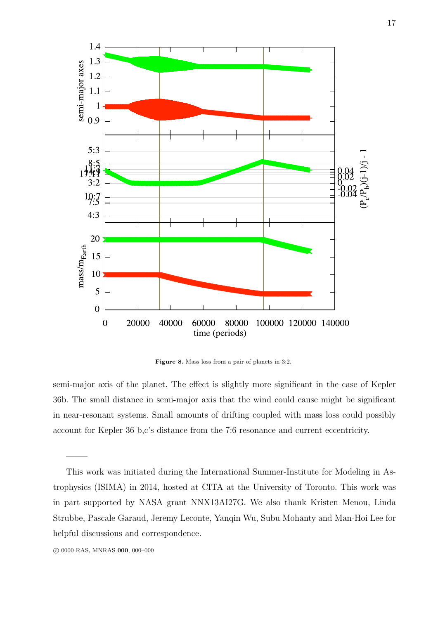

Figure 8. Mass loss from a pair of planets in 3:2.

semi-major axis of the planet. The effect is slightly more significant in the case of Kepler 36b. The small distance in semi-major axis that the wind could cause might be significant in near-resonant systems. Small amounts of drifting coupled with mass loss could possibly account for Kepler 36 b,c's distance from the 7:6 resonance and current eccentricity.

——–

This work was initiated during the International Summer-Institute for Modeling in Astrophysics (ISIMA) in 2014, hosted at CITA at the University of Toronto. This work was in part supported by NASA grant NNX13AI27G. We also thank Kristen Menou, Linda Strubbe, Pascale Garaud, Jeremy Leconte, Yanqin Wu, Subu Mohanty and Man-Hoi Lee for helpful discussions and correspondence.

c 0000 RAS, MNRAS 000, 000–000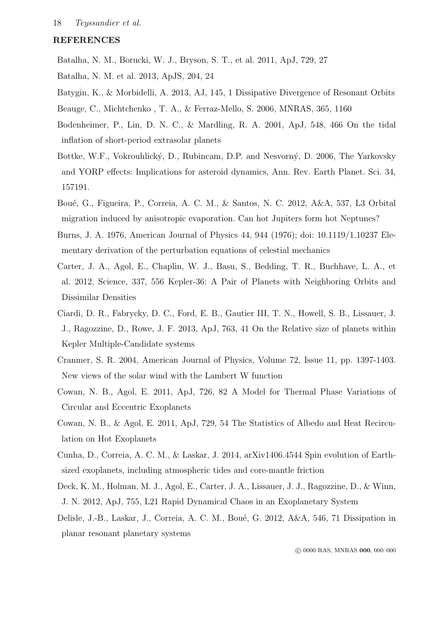# REFERENCES

Batalha, N. M., Borucki, W. J., Bryson, S. T., et al. 2011, ApJ, 729, 27

- Batalha, N. M. et al. 2013, ApJS, 204, 24
- Batygin, K., & Morbidelli, A. 2013, AJ, 145, 1 Dissipative Divergence of Resonant Orbits
- Beauge, C., Michtchenko , T. A., & Ferraz-Mello, S. 2006, MNRAS, 365, 1160
- Bodenheimer, P., Lin, D. N. C., & Mardling, R. A. 2001, ApJ, 548, 466 On the tidal inflation of short-period extrasolar planets
- Bottke, W.F., Vokrouhlický, D., Rubincam, D.P. and Nesvorný, D. 2006, The Yarkovsky and YORP effects: Implications for asteroid dynamics, Ann. Rev. Earth Planet. Sci. 34, 157191.
- Boué, G., Figueira, P., Correia, A. C. M., & Santos, N. C. 2012, A&A, 537, L3 Orbital migration induced by anisotropic evaporation. Can hot Jupiters form hot Neptunes?
- Burns, J. A. 1976, American Journal of Physics 44, 944 (1976); doi: 10.1119/1.10237 Elementary derivation of the perturbation equations of celestial mechanics
- Carter, J. A., Agol, E., Chaplin, W. J., Basu, S., Bedding, T. R., Buchhave, L. A., et al. 2012, Science, 337, 556 Kepler-36: A Pair of Planets with Neighboring Orbits and Dissimilar Densities
- Ciardi, D. R., Fabrycky, D. C., Ford, E. B., Gautier III, T. N., Howell, S. B., Lissauer, J. J., Ragozzine, D., Rowe, J. F. 2013, ApJ, 763, 41 On the Relative size of planets within Kepler Multiple-Candidate systems
- Cranmer, S. R. 2004, American Journal of Physics, Volume 72, Issue 11, pp. 1397-1403. New views of the solar wind with the Lambert W function
- Cowan, N. B., Agol, E. 2011, ApJ, 726, 82 A Model for Thermal Phase Variations of Circular and Eccentric Exoplanets
- Cowan, N. B., & Agol, E. 2011, ApJ, 729, 54 The Statistics of Albedo and Heat Recirculation on Hot Exoplanets
- Cunha, D., Correia, A. C. M., & Laskar, J. 2014, arXiv1406.4544 Spin evolution of Earthsized exoplanets, including atmospheric tides and core-mantle friction
- Deck, K. M., Holman, M. J., Agol, E., Carter, J. A., Lissauer, J. J., Ragozzine, D., & Winn, J. N. 2012, ApJ, 755, L21 Rapid Dynamical Chaos in an Exoplanetary System
- Delisle, J.-B., Laskar, J., Correia, A. C. M., Boué, G. 2012, A&A, 546, 71 Dissipation in planar resonant planetary systems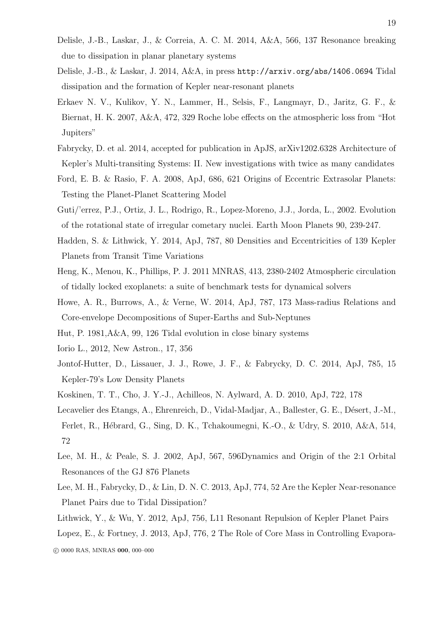- Delisle, J.-B., Laskar, J., & Correia, A. C. M. 2014, A&A, 566, 137 Resonance breaking due to dissipation in planar planetary systems
- Delisle, J.-B., & Laskar, J. 2014, A&A, in press http://arxiv.org/abs/1406.0694 Tidal dissipation and the formation of Kepler near-resonant planets
- Erkaev N. V., Kulikov, Y. N., Lammer, H., Selsis, F., Langmayr, D., Jaritz, G. F., & Biernat, H. K. 2007, A&A, 472, 329 Roche lobe effects on the atmospheric loss from "Hot Jupiters"
- Fabrycky, D. et al. 2014, accepted for publication in ApJS, arXiv1202.6328 Architecture of Kepler's Multi-transiting Systems: II. New investigations with twice as many candidates
- Ford, E. B. & Rasio, F. A. 2008, ApJ, 686, 621 Origins of Eccentric Extrasolar Planets: Testing the Planet-Planet Scattering Model
- Guti/'errez, P.J., Ortiz, J. L., Rodrigo, R., Lopez-Moreno, J.J., Jorda, L., 2002. Evolution of the rotational state of irregular cometary nuclei. Earth Moon Planets 90, 239-247.
- Hadden, S. & Lithwick, Y. 2014, ApJ, 787, 80 Densities and Eccentricities of 139 Kepler Planets from Transit Time Variations
- Heng, K., Menou, K., Phillips, P. J. 2011 MNRAS, 413, 2380-2402 Atmospheric circulation of tidally locked exoplanets: a suite of benchmark tests for dynamical solvers
- Howe, A. R., Burrows, A., & Verne, W. 2014, ApJ, 787, 173 Mass-radius Relations and Core-envelope Decompositions of Super-Earths and Sub-Neptunes
- Hut, P. 1981,A&A, 99, 126 Tidal evolution in close binary systems
- Iorio L., 2012, New Astron., 17, 356
- Jontof-Hutter, D., Lissauer, J. J., Rowe, J. F., & Fabrycky, D. C. 2014, ApJ, 785, 15 Kepler-79's Low Density Planets
- Koskinen, T. T., Cho, J. Y.-J., Achilleos, N. Aylward, A. D. 2010, ApJ, 722, 178
- Lecavelier des Etangs, A., Ehrenreich, D., Vidal-Madjar, A., Ballester, G. E., Désert, J.-M., Ferlet, R., H´ebrard, G., Sing, D. K., Tchakoumegni, K.-O., & Udry, S. 2010, A&A, 514, 72
- Lee, M. H., & Peale, S. J. 2002, ApJ, 567, 596Dynamics and Origin of the 2:1 Orbital Resonances of the GJ 876 Planets
- Lee, M. H., Fabrycky, D., & Lin, D. N. C. 2013, ApJ, 774, 52 Are the Kepler Near-resonance Planet Pairs due to Tidal Dissipation?
- Lithwick, Y., & Wu, Y. 2012, ApJ, 756, L11 Resonant Repulsion of Kepler Planet Pairs

Lopez, E., & Fortney, J. 2013, ApJ, 776, 2 The Role of Core Mass in Controlling Evapora-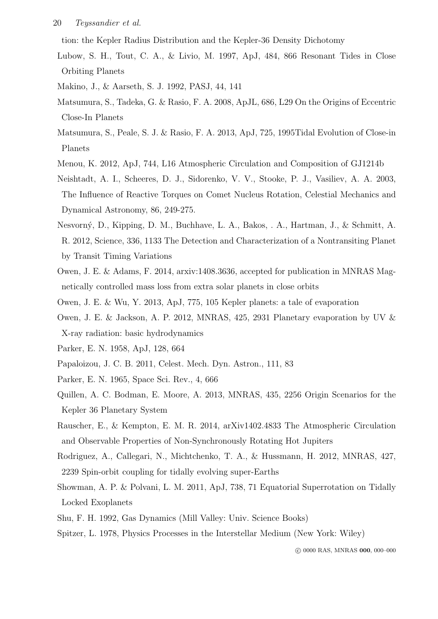#### 20 Teyssandier et al.

tion: the Kepler Radius Distribution and the Kepler-36 Density Dichotomy

- Lubow, S. H., Tout, C. A., & Livio, M. 1997, ApJ, 484, 866 Resonant Tides in Close Orbiting Planets
- Makino, J., & Aarseth, S. J. 1992, PASJ, 44, 141
- Matsumura, S., Tadeka, G. & Rasio, F. A. 2008, ApJL, 686, L29 On the Origins of Eccentric Close-In Planets
- Matsumura, S., Peale, S. J. & Rasio, F. A. 2013, ApJ, 725, 1995Tidal Evolution of Close-in Planets
- Menou, K. 2012, ApJ, 744, L16 Atmospheric Circulation and Composition of GJ1214b
- Neishtadt, A. I., Scheeres, D. J., Sidorenko, V. V., Stooke, P. J., Vasiliev, A. A. 2003, The Influence of Reactive Torques on Comet Nucleus Rotation, Celestial Mechanics and Dynamical Astronomy, 86, 249-275.
- Nesvorn´y, D., Kipping, D. M., Buchhave, L. A., Bakos, . A., Hartman, J., & Schmitt, A. R. 2012, Science, 336, 1133 The Detection and Characterization of a Nontransiting Planet by Transit Timing Variations
- Owen, J. E. & Adams, F. 2014, arxiv:1408.3636, accepted for publication in MNRAS Magnetically controlled mass loss from extra solar planets in close orbits
- Owen, J. E. & Wu, Y. 2013, ApJ, 775, 105 Kepler planets: a tale of evaporation
- Owen, J. E. & Jackson, A. P. 2012, MNRAS, 425, 2931 Planetary evaporation by UV & X-ray radiation: basic hydrodynamics
- Parker, E. N. 1958, ApJ, 128, 664
- Papaloizou, J. C. B. 2011, Celest. Mech. Dyn. Astron., 111, 83
- Parker, E. N. 1965, Space Sci. Rev., 4, 666
- Quillen, A. C. Bodman, E. Moore, A. 2013, MNRAS, 435, 2256 Origin Scenarios for the Kepler 36 Planetary System
- Rauscher, E., & Kempton, E. M. R. 2014, arXiv1402.4833 The Atmospheric Circulation and Observable Properties of Non-Synchronously Rotating Hot Jupiters
- Rodriguez, A., Callegari, N., Michtchenko, T. A., & Hussmann, H. 2012, MNRAS, 427, 2239 Spin-orbit coupling for tidally evolving super-Earths
- Showman, A. P. & Polvani, L. M. 2011, ApJ, 738, 71 Equatorial Superrotation on Tidally Locked Exoplanets
- Shu, F. H. 1992, Gas Dynamics (Mill Valley: Univ. Science Books)
- Spitzer, L. 1978, Physics Processes in the Interstellar Medium (New York: Wiley)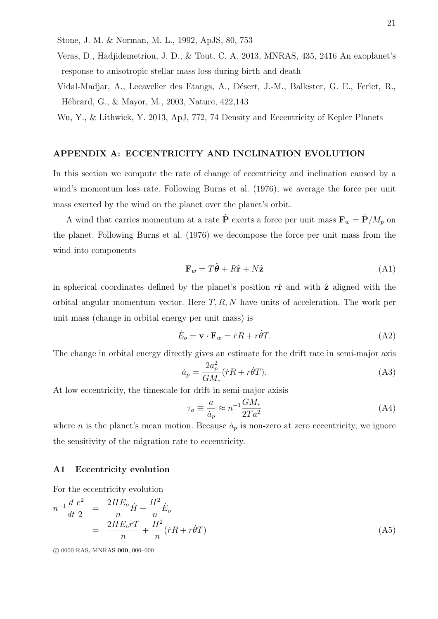Stone, J. M. & Norman, M. L., 1992, ApJS, 80, 753

Veras, D., Hadjidemetriou, J. D., & Tout, C. A. 2013, MNRAS, 435, 2416 An exoplanet's response to anisotropic stellar mass loss during birth and death

Vidal-Madjar, A., Lecavelier des Etangs, A., Désert, J.-M., Ballester, G. E., Ferlet, R., Hébrard, G., & Mayor, M., 2003, Nature, 422,143

Wu, Y., & Lithwick, Y. 2013, ApJ, 772, 74 Density and Eccentricity of Kepler Planets

# APPENDIX A: ECCENTRICITY AND INCLINATION EVOLUTION

In this section we compute the rate of change of eccentricity and inclination caused by a wind's momentum loss rate. Following Burns et al. (1976), we average the force per unit mass exerted by the wind on the planet over the planet's orbit.

A wind that carries momentum at a rate  $\dot{\mathbf{P}}$  exerts a force per unit mass  $\mathbf{F}_w = \dot{\mathbf{P}}/M_p$  on the planet. Following Burns et al. (1976) we decompose the force per unit mass from the wind into components

$$
\mathbf{F}_w = T\hat{\boldsymbol{\theta}} + R\hat{\mathbf{r}} + N\hat{\mathbf{z}} \tag{A1}
$$

in spherical coordinates defined by the planet's position  $r\hat{\mathbf{r}}$  and with  $\hat{\mathbf{z}}$  aligned with the orbital angular momentum vector. Here  $T, R, N$  have units of acceleration. The work per unit mass (change in orbital energy per unit mass) is

$$
\dot{E}_o = \mathbf{v} \cdot \mathbf{F}_w = \dot{r}R + r\dot{\theta}T. \tag{A2}
$$

The change in orbital energy directly gives an estimate for the drift rate in semi-major axis

$$
\dot{a}_p = \frac{2a_p^2}{GM_*} (\dot{r}R + r\dot{\theta}T). \tag{A3}
$$

At low eccentricity, the timescale for drift in semi-major axisis

$$
\tau_a \equiv \frac{a}{\dot{a}_p} \approx n^{-1} \frac{GM_*}{2Ta^2} \tag{A4}
$$

where *n* is the planet's mean motion. Because  $\dot{a}_p$  is non-zero at zero eccentricity, we ignore the sensitivity of the migration rate to eccentricity.

#### A1 Eccentricity evolution

For the eccentricity evolution

$$
n^{-1}\frac{d}{dt}\frac{e^2}{2} = \frac{2HE_o}{n}\dot{H} + \frac{H^2}{n}\dot{E}_o
$$
  
= 
$$
\frac{2HE_oT}{n} + \frac{H^2}{n}(\dot{r}R + r\dot{\theta}T)
$$
 (A5)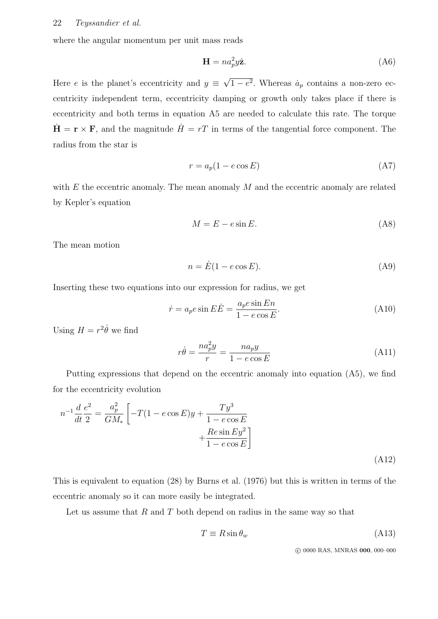where the angular momentum per unit mass reads

$$
\mathbf{H} = n a_p^2 y \hat{\mathbf{z}}.\tag{A6}
$$

Here e is the planet's eccentricity and  $y \equiv$ √  $1-e^2$ . Whereas  $\dot{a}_p$  contains a non-zero eccentricity independent term, eccentricity damping or growth only takes place if there is eccentricity and both terms in equation A5 are needed to calculate this rate. The torque  $\dot{\mathbf{H}} = \mathbf{r} \times \mathbf{F}$ , and the magnitude  $\dot{H} = rT$  in terms of the tangential force component. The radius from the star is

$$
r = a_p(1 - e \cos E) \tag{A7}
$$

with  $E$  the eccentric anomaly. The mean anomaly  $M$  and the eccentric anomaly are related by Kepler's equation

$$
M = E - e \sin E. \tag{A8}
$$

The mean motion

$$
n = \dot{E}(1 - e \cos E). \tag{A9}
$$

Inserting these two equations into our expression for radius, we get

$$
\dot{r} = a_p e \sin E \dot{E} = \frac{a_p e \sin E n}{1 - e \cos E}.
$$
\n(A10)

Using  $H = r^2 \dot{\theta}$  we find

$$
r\dot{\theta} = \frac{na_p^2 y}{r} = \frac{na_p y}{1 - e \cos E}
$$
 (A11)

Putting expressions that depend on the eccentric anomaly into equation (A5), we find for the eccentricity evolution

$$
n^{-1}\frac{d}{dt}\frac{e^2}{2} = \frac{a_p^2}{GM_*} \left[ -T(1 - e\cos E)y + \frac{Ty^3}{1 - e\cos E} + \frac{Re\sin Ey^2}{1 - e\cos E} \right]
$$
\n(A12)

This is equivalent to equation (28) by Burns et al. (1976) but this is written in terms of the eccentric anomaly so it can more easily be integrated.

Let us assume that  $R$  and  $T$  both depend on radius in the same way so that

$$
T \equiv R \sin \theta_w \tag{A13}
$$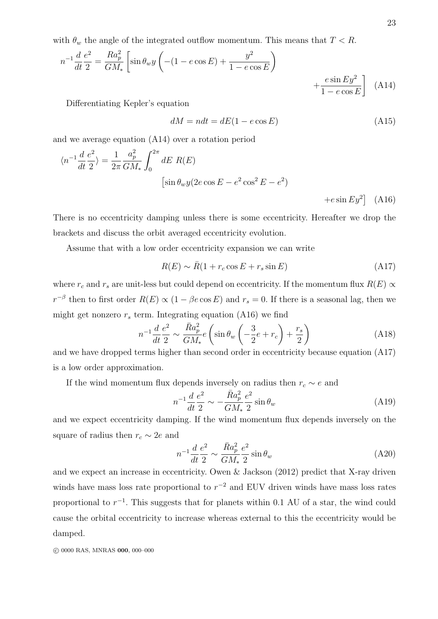with  $\theta_w$  the angle of the integrated outflow momentum. This means that  $T < R$ .

$$
n^{-1} \frac{d}{dt} \frac{e^2}{2} = \frac{Ra_p^2}{GM_*} \left[ \sin \theta_w y \left( -(1 - e \cos E) + \frac{y^2}{1 - e \cos E} \right) + \frac{e \sin E y^2}{1 - e \cos E} \right]
$$
(A14)

Differentiating Kepler's equation

$$
dM = ndt = dE(1 - e \cos E) \tag{A15}
$$

and we average equation (A14) over a rotation period

$$
\langle n^{-1} \frac{d}{dt} \frac{e^2}{2} \rangle = \frac{1}{2\pi} \frac{a_p^2}{GM_*} \int_0^{2\pi} dE \ R(E)
$$
  
\n
$$
[\sin \theta_w y (2e \cos E - e^2 \cos^2 E - e^2) + e \sin E y^2]
$$
 (A16)

There is no eccentricity damping unless there is some eccentricity. Hereafter we drop the brackets and discuss the orbit averaged eccentricity evolution.

Assume that with a low order eccentricity expansion we can write

$$
R(E) \sim \bar{R}(1 + r_c \cos E + r_s \sin E) \tag{A17}
$$

where  $r_c$  and  $r_s$  are unit-less but could depend on eccentricity. If the momentum flux  $R(E) \propto$  $r^{-\beta}$  then to first order  $R(E) \propto (1 - \beta e \cos E)$  and  $r_s = 0$ . If there is a seasonal lag, then we might get nonzero  $r_s$  term. Integrating equation (A16) we find

$$
n^{-1}\frac{d}{dt}\frac{e^2}{2} \sim \frac{\bar{R}a_p^2}{GM_*}e\left(\sin\theta_w\left(-\frac{3}{2}e+r_c\right)+\frac{r_s}{2}\right)
$$
(A18)

and we have dropped terms higher than second order in eccentricity because equation (A17) is a low order approximation.

If the wind momentum flux depends inversely on radius then  $r_c \sim e$  and

$$
n^{-1}\frac{d}{dt}\frac{e^2}{2} \sim -\frac{\bar{R}a_p^2}{GM_*}\frac{e^2}{2}\sin\theta_w
$$
 (A19)

and we expect eccentricity damping. If the wind momentum flux depends inversely on the square of radius then  $r_c \sim 2e$  and

$$
n^{-1}\frac{d}{dt}\frac{e^2}{2} \sim \frac{\bar{R}a_p^2}{GM_*}\frac{e^2}{2}\sin\theta_w
$$
 (A20)

and we expect an increase in eccentricity. Owen & Jackson (2012) predict that X-ray driven winds have mass loss rate proportional to  $r^{-2}$  and EUV driven winds have mass loss rates proportional to  $r^{-1}$ . This suggests that for planets within 0.1 AU of a star, the wind could cause the orbital eccentricity to increase whereas external to this the eccentricity would be damped.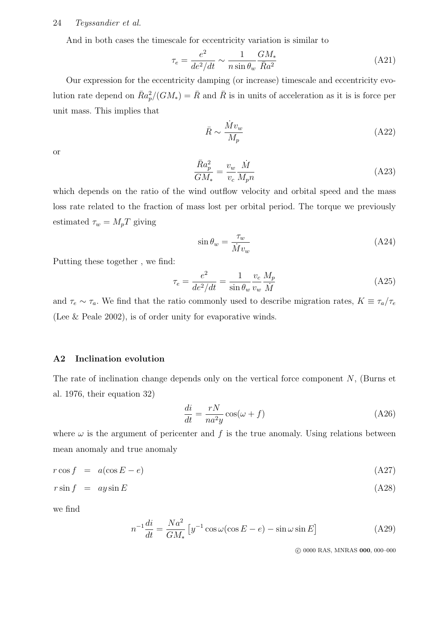#### 24 Teyssandier et al.

And in both cases the timescale for eccentricity variation is similar to

$$
\tau_e = \frac{e^2}{de^2/dt} \sim \frac{1}{n\sin\theta_w} \frac{GM_*}{\bar{R}a^2}
$$
\n(A21)

Our expression for the eccentricity damping (or increase) timescale and eccentricity evolution rate depend on  $\bar{R}a_p^2/(GM_*) = \bar{R}$  and  $\bar{R}$  is in units of acceleration as it is is force per unit mass. This implies that

$$
\bar{R} \sim \frac{\dot{M}v_w}{M_p} \tag{A22}
$$

or

$$
\frac{\bar{R}a_p^2}{GM_*} = \frac{v_w}{v_c} \frac{\dot{M}}{M_p n} \tag{A23}
$$

which depends on the ratio of the wind outflow velocity and orbital speed and the mass loss rate related to the fraction of mass lost per orbital period. The torque we previously estimated  $\tau_w = M_p T$  giving

$$
\sin \theta_w = \frac{\tau_w}{\dot{M}v_w} \tag{A24}
$$

Putting these together , we find:

$$
\tau_e = \frac{e^2}{de^2/dt} = \frac{1}{\sin \theta_w} \frac{v_c}{v_w} \frac{M_p}{\dot{M}}
$$
(A25)

and  $\tau_e \sim \tau_a$ . We find that the ratio commonly used to describe migration rates,  $K \equiv \tau_a/\tau_e$ (Lee & Peale 2002), is of order unity for evaporative winds.

# A2 Inclination evolution

The rate of inclination change depends only on the vertical force component  $N$ , (Burns et al. 1976, their equation 32)

$$
\frac{di}{dt} = \frac{rN}{na^2y}\cos(\omega + f) \tag{A26}
$$

where  $\omega$  is the argument of pericenter and f is the true anomaly. Using relations between mean anomaly and true anomaly

$$
r \cos f = a(\cos E - e) \tag{A27}
$$

$$
r\sin f = ay\sin E \tag{A28}
$$

we find

$$
n^{-1}\frac{di}{dt} = \frac{Na^2}{GM_*} \left[ y^{-1} \cos \omega (\cos E - e) - \sin \omega \sin E \right]
$$
 (A29)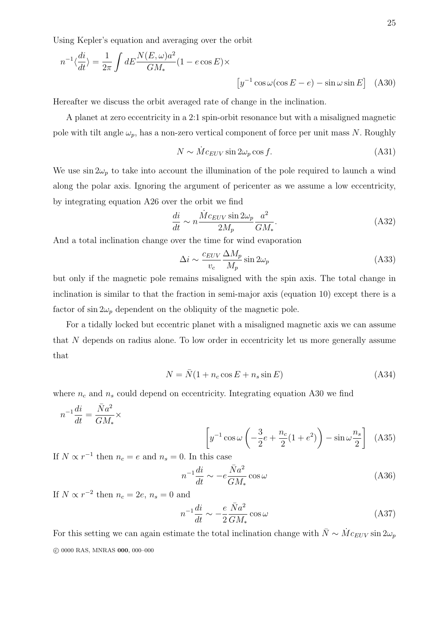Using Kepler's equation and averaging over the orbit

$$
n^{-1}\langle \frac{di}{dt} \rangle = \frac{1}{2\pi} \int dE \frac{N(E,\omega)a^2}{GM_*} (1 - e \cos E) \times \left[ y^{-1} \cos \omega (\cos E - e) - \sin \omega \sin E \right]
$$
 (A30)

Hereafter we discuss the orbit averaged rate of change in the inclination.

A planet at zero eccentricity in a 2:1 spin-orbit resonance but with a misaligned magnetic pole with tilt angle  $\omega_p$ , has a non-zero vertical component of force per unit mass N. Roughly

$$
N \sim \dot{M} c_{EUV} \sin 2\omega_p \cos f. \tag{A31}
$$

We use  $\sin 2\omega_p$  to take into account the illumination of the pole required to launch a wind along the polar axis. Ignoring the argument of pericenter as we assume a low eccentricity, by integrating equation A26 over the orbit we find

$$
\frac{di}{dt} \sim n \frac{\dot{M}c_{EUV} \sin 2\omega_p}{2M_p} \frac{a^2}{GM_*}.
$$
\n(A32)

And a total inclination change over the time for wind evaporation

$$
\Delta i \sim \frac{c_{EUV}}{v_c} \frac{\Delta M_p}{M_p} \sin 2\omega_p \tag{A33}
$$

but only if the magnetic pole remains misaligned with the spin axis. The total change in inclination is similar to that the fraction in semi-major axis (equation 10) except there is a factor of  $\sin 2\omega_p$  dependent on the obliquity of the magnetic pole.

For a tidally locked but eccentric planet with a misaligned magnetic axis we can assume that N depends on radius alone. To low order in eccentricity let us more generally assume that

$$
N = \bar{N}(1 + n_c \cos E + n_s \sin E)
$$
 (A34)

where  $n_c$  and  $n_s$  could depend on eccentricity. Integrating equation A30 we find

$$
n^{-1}\frac{di}{dt} = \frac{\bar{N}a^2}{GM_*} \times \qquad \qquad \left[y^{-1}\cos\omega\left(-\frac{3}{2}e + \frac{n_c}{2}(1+e^2)\right) - \sin\omega\frac{n_s}{2}\right] \tag{A35}
$$

If  $N \propto r^{-1}$  then  $n_c = e$  and  $n_s = 0$ . In this case

$$
n^{-1}\frac{di}{dt} \sim -e\frac{\bar{N}a^2}{GM_*}\cos\omega\tag{A36}
$$

If  $N \propto r^{-2}$  then  $n_c = 2e$ ,  $n_s = 0$  and

$$
n^{-1}\frac{di}{dt} \sim -\frac{e}{2}\frac{\bar{N}a^2}{GM_*}\cos\omega\tag{A37}
$$

For this setting we can again estimate the total inclination change with  $\bar{N} \sim \dot{M} c_{EUV} \sin 2\omega_p$ c 0000 RAS, MNRAS 000, 000–000